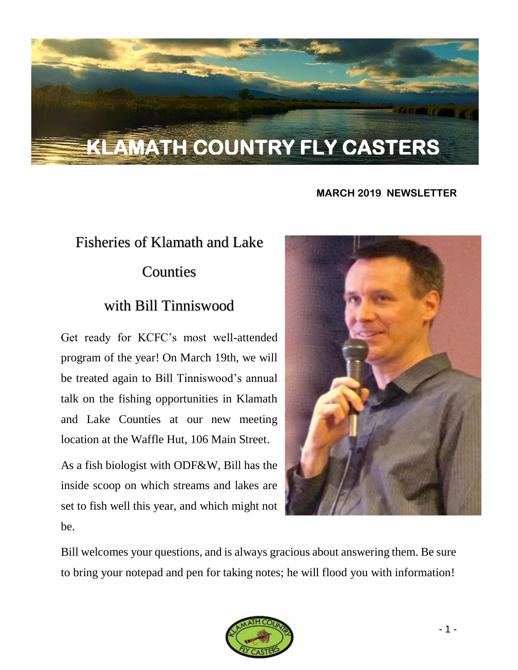# **KLAMATH COUNTRY FLY CASTERS**

### **MARCH 2019 NEWSLETTER**

# Fisheries of Klamath and Lake **Counties**

## with Bill Tinniswood

Get ready for KCFC's most well-attended program of the year! On March 19th, we will be treated again to Bill Tinniswood's annual talk on the fishing opportunities in Klamath and Lake Counties at our new meeting location at the Waffle Hut, 106 Main Street.

As a fish biologist with ODF&W, Bill has the inside scoop on which streams and lakes are set to fish well this year, and which might not be.



Bill welcomes your questions, and is always gracious about answering them. Be sure to bring your notepad and pen for taking notes; he will flood you with information!

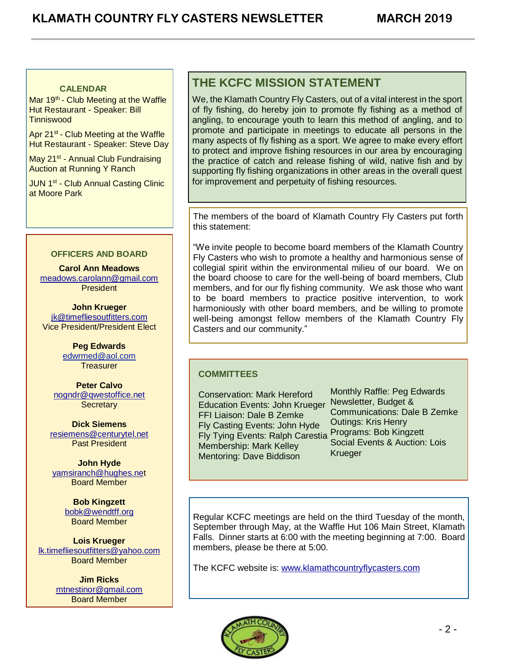### **CALENDAR**

Mar 19<sup>th</sup> - Club Meeting at the Waffle Hut Restaurant - Speaker: Bill **Tinniswood** 

Apr 21<sup>st</sup> - Club Meeting at the Waffle Hut Restaurant - Speaker: Steve Day

May 21<sup>st</sup> - Annual Club Fundraising Auction at Running Y Ranch

JUN 1<sup>st</sup> - Club Annual Casting Clinic at Moore Park

#### **OFFICERS AND BOARD**

**Carol Ann Meadows** [meadows.carolann@gmail.com](http://meadows.carolann@gmail.com/) President

**John Krueger** [jk@timefliesoutfitters.com](http://jk@timefliesoutfitters.com/) Vice President/President Elect

> **Peg Edwards** [edwrmed@aol.com](mailto:edwrmed@aol.com) **Treasurer**

**Peter Calvo** [nogndr@qwestoffice.net](mailto:nogndr@qwestoffice.net) **Secretary** 

**Dick Siemens** [resiemens@centurytel.net](mailto:resiemens@centurytel.net) Past President

**John Hyde** [yamsiranch@hughes.net](mailto:yamsiranch@hughes.ne) Board Member

> **Bob Kingzett** [bobk@wendtff.org](mailto:bobk@jeld-wen.com) Board Member

**Lois Krueger** [lk.timefliesoutfitters@yahoo.com](mailto:lk.timefliesoutfitters@yahoo.com) Board Member

> **Jim Ricks** [mtnestinor@gmail.com](mailto:mtnestinor@gmail.com) Board Member

### **THE KCFC MISSION STATEMENT**

We, the Klamath Country Fly Casters, out of a vital interest in the sport of fly fishing, do hereby join to promote fly fishing as a method of angling, to encourage youth to learn this method of angling, and to promote and participate in meetings to educate all persons in the many aspects of fly fishing as a sport. We agree to make every effort to protect and improve fishing resources in our area by encouraging the practice of catch and release fishing of wild, native fish and by supporting fly fishing organizations in other areas in the overall quest for improvement and perpetuity of fishing resources.

The members of the board of Klamath Country Fly Casters put forth this statement:

"We invite people to become board members of the Klamath Country Fly Casters who wish to promote a healthy and harmonious sense of collegial spirit within the environmental milieu of our board. We on the board choose to care for the well-being of board members, Club members, and for our fly fishing community. We ask those who want to be board members to practice positive intervention, to work harmoniously with other board members, and be willing to promote well-being amongst fellow members of the Klamath Country Fly Casters and our community."

### **COMMITTEES**

Conservation: Mark Hereford Education Events: John Krueger FFI Liaison: Dale B Zemke Fly Casting Events: John Hyde Fly Tying Events: Ralph Carestia Membership: Mark Kelley Mentoring: Dave Biddison

Monthly Raffle: Peg Edwards Newsletter, Budget & Communications: Dale B Zemke Outings: Kris Henry Programs: Bob Kingzett Social Events & Auction: Lois **Krueger** 

Regular KCFC meetings are held on the third Tuesday of the month, September through May, at the Waffle Hut 106 Main Street, Klamath Falls. Dinner starts at 6:00 with the meeting beginning at 7:00. Board members, please be there at 5:00.

The KCFC website is: [www.klamathcountryflycasters.com](http://www.klamathcountryflycasters.com/)

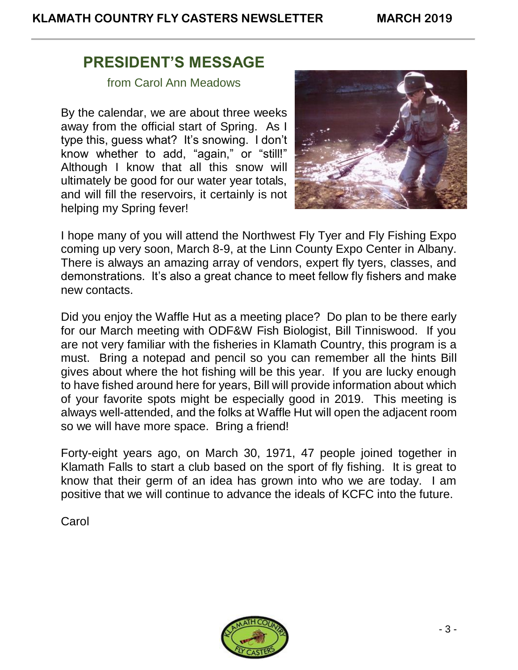## **PRESIDENT'S MESSAGE**

from Carol Ann Meadows

By the calendar, we are about three weeks away from the official start of Spring. As I type this, guess what? It's snowing. I don't know whether to add, "again," or "still!" Although I know that all this snow will ultimately be good for our water year totals, and will fill the reservoirs, it certainly is not helping my Spring fever!



I hope many of you will attend the Northwest Fly Tyer and Fly Fishing Expo coming up very soon, March 8-9, at the Linn County Expo Center in Albany. There is always an amazing array of vendors, expert fly tyers, classes, and demonstrations. It's also a great chance to meet fellow fly fishers and make new contacts.

Did you enjoy the Waffle Hut as a meeting place? Do plan to be there early for our March meeting with ODF&W Fish Biologist, Bill Tinniswood. If you are not very familiar with the fisheries in Klamath Country, this program is a must. Bring a notepad and pencil so you can remember all the hints Bill gives about where the hot fishing will be this year. If you are lucky enough to have fished around here for years, Bill will provide information about which of your favorite spots might be especially good in 2019. This meeting is always well-attended, and the folks at Waffle Hut will open the adjacent room so we will have more space. Bring a friend!

Forty-eight years ago, on March 30, 1971, 47 people joined together in Klamath Falls to start a club based on the sport of fly fishing. It is great to know that their germ of an idea has grown into who we are today. I am positive that we will continue to advance the ideals of KCFC into the future.

**Carol** 

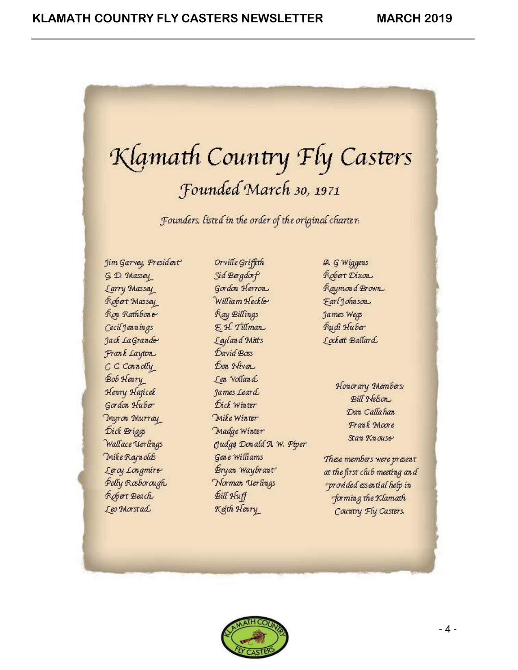# Klamath Country Fly Casters Founded March 30, 1971

Founders, listed in the order of the original charter.

Jim Garvay, President G. D. Massey Larry Massay Robert Massey **Ron** Rathbone Cecil Jeanings Jack LaGrande Frank Layton  $C \subset \text{Connam}$ Bob Henry Henry Haficek Gordon Huber Myron Murray Dick Briggs Wallace Uerlings **Mike Raynolds** Lacy Longmire Polly Rosborough Robert Beach Leo Morstad

Orville Griffith Sid Bargdorf Gordon Herron William Heckle Ray Billings F. H. Tillman Layland Mitts David Boss Don Niver I en Volland James Leard Dick Winter Mike Winter Madge Winter Gudge Donald A. W. Piper Gene Williams Bryan Waybrant Norman Uerlings Bill Huff Keth Heary

A. G Wiggens Robert Dixon Raymond Brown Farl Johnson James Wegs Rudi Huber Lockett Ballard

> Honorary Members **Bill Nebon** Dan Callahan Frank Moore Stan Knouse

These members were present at the first club meeting and provided essential help in forming the Klamath Country Fly Casters

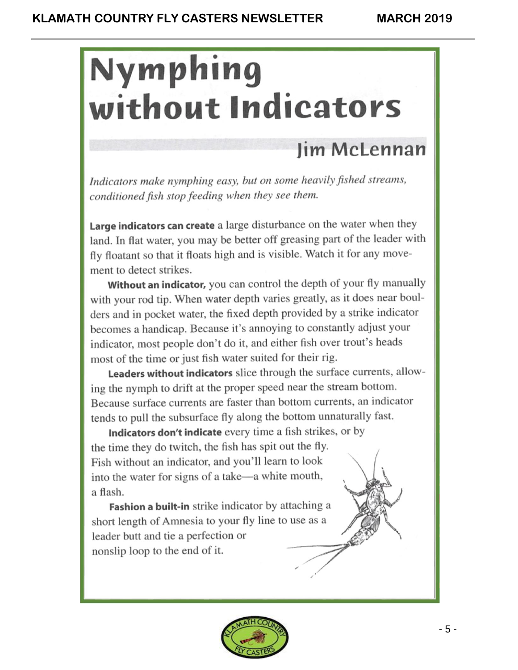# **Nymphing** without Indicators

# **lim McLennan**

Indicators make nymphing easy, but on some heavily fished streams, conditioned fish stop feeding when they see them.

Large indicators can create a large disturbance on the water when they land. In flat water, you may be better off greasing part of the leader with fly floatant so that it floats high and is visible. Watch it for any movement to detect strikes.

Without an indicator, you can control the depth of your fly manually with your rod tip. When water depth varies greatly, as it does near boulders and in pocket water, the fixed depth provided by a strike indicator becomes a handicap. Because it's annoying to constantly adjust your indicator, most people don't do it, and either fish over trout's heads most of the time or just fish water suited for their rig.

Leaders without indicators slice through the surface currents, allowing the nymph to drift at the proper speed near the stream bottom. Because surface currents are faster than bottom currents, an indicator tends to pull the subsurface fly along the bottom unnaturally fast.

Indicators don't indicate every time a fish strikes, or by the time they do twitch, the fish has spit out the fly. Fish without an indicator, and you'll learn to look into the water for signs of a take-a white mouth, a flash.

Fashion a built-in strike indicator by attaching a short length of Amnesia to your fly line to use as a leader butt and tie a perfection or nonslip loop to the end of it.

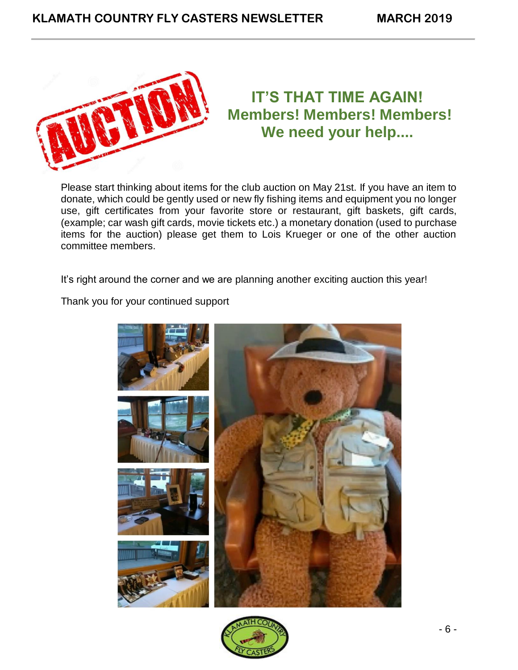

# **IT'S THAT TIME AGAIN! Members! Members! Members! We need your help....**

Please start thinking about items for the club auction on May 21st. If you have an item to donate, which could be gently used or new fly fishing items and equipment you no longer use, gift certificates from your favorite store or restaurant, gift baskets, gift cards, (example; car wash gift cards, movie tickets etc.) a monetary donation (used to purchase items for the auction) please get them to Lois Krueger or one of the other auction committee members.

It's right around the corner and we are planning another exciting auction this year!

Thank you for your continued support



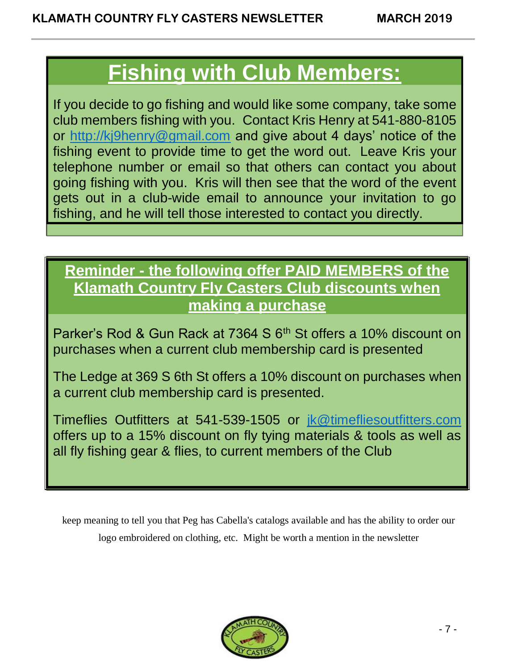# **Fishing with Club Members:**

If you decide to go fishing and would like some company, take some club members fishing with you. Contact Kris Henry at 541-880-8105 or [http://kj9henry@gmail.com](http://kj9henry@gmail.com/) and give about 4 days' notice of the fishing event to provide time to get the word out. Leave Kris your telephone number or email so that others can contact you about going fishing with you. Kris will then see that the word of the event gets out in a club-wide email to announce your invitation to go fishing, and he will tell those interested to contact you directly.

# **Reminder - the following offer PAID MEMBERS of the Klamath Country Fly Casters Club discounts when making a purchase**

Parker's Rod & Gun Rack at 7364 S 6<sup>th</sup> St offers a 10% discount on purchases when a current club membership card is presented

The Ledge at 369 S 6th St offers a 10% discount on purchases when a current club membership card is presented.

Timeflies Outfitters at 541-539-1505 or [jk@timefliesoutfitters.com](mailto:jk@timefliesoutfitters.com) offers up to a 15% discount on fly tying materials & tools as well as all fly fishing gear & flies, to current members of the Club

keep meaning to tell you that Peg has Cabella's catalogs available and has the ability to order our logo embroidered on clothing, etc. Might be worth a mention in the newsletter

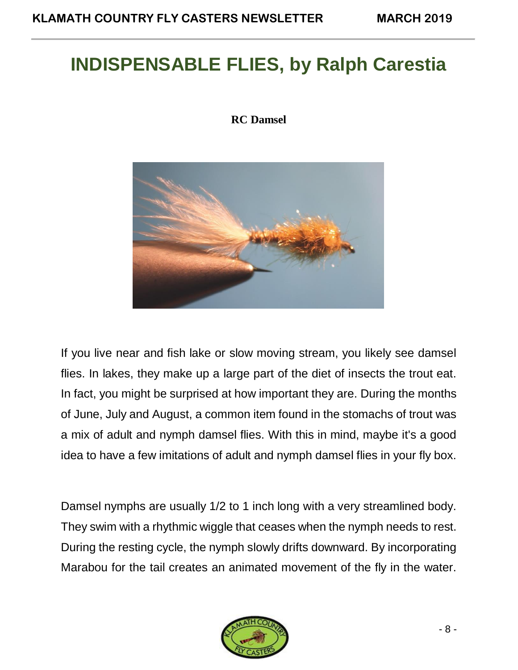# **INDISPENSABLE FLIES, by Ralph Carestia**

### **RC Damsel**



If you live near and fish lake or slow moving stream, you likely see damsel flies. In lakes, they make up a large part of the diet of insects the trout eat. In fact, you might be surprised at how important they are. During the months of June, July and August, a common item found in the stomachs of trout was a mix of adult and nymph damsel flies. With this in mind, maybe it's a good idea to have a few imitations of adult and nymph damsel flies in your fly box.

Damsel nymphs are usually 1/2 to 1 inch long with a very streamlined body. They swim with a rhythmic wiggle that ceases when the nymph needs to rest. During the resting cycle, the nymph slowly drifts downward. By incorporating Marabou for the tail creates an animated movement of the fly in the water.

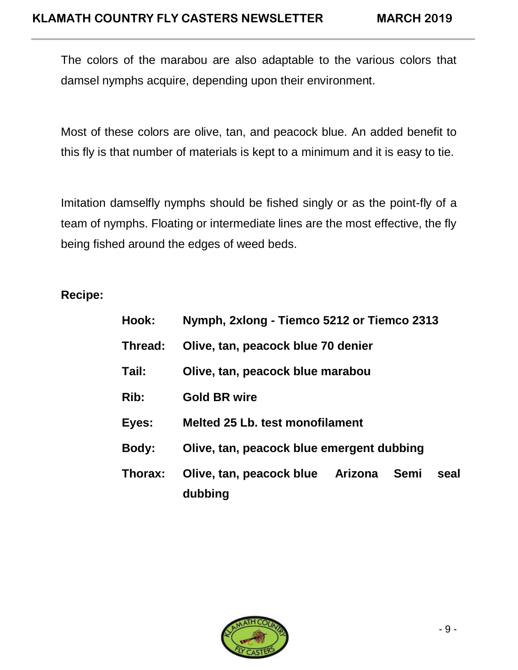The colors of the marabou are also adaptable to the various colors that damsel nymphs acquire, depending upon their environment.

Most of these colors are olive, tan, and peacock blue. An added benefit to this fly is that number of materials is kept to a minimum and it is easy to tie.

Imitation damselfly nymphs should be fished singly or as the point-fly of a team of nymphs. Floating or intermediate lines are the most effective, the fly being fished around the edges of weed beds.

## **Recipe:**

| Nymph, 2xlong - Tiemco 5212 or Tiemco 2313 |  |                                  |      |
|--------------------------------------------|--|----------------------------------|------|
| Olive, tan, peacock blue 70 denier         |  |                                  |      |
| Olive, tan, peacock blue marabou           |  |                                  |      |
| <b>Gold BR wire</b>                        |  |                                  |      |
| <b>Melted 25 Lb. test monofilament</b>     |  |                                  |      |
| Olive, tan, peacock blue emergent dubbing  |  |                                  |      |
| dubbing                                    |  |                                  | seal |
|                                            |  | Olive, tan, peacock blue Arizona | Semi |

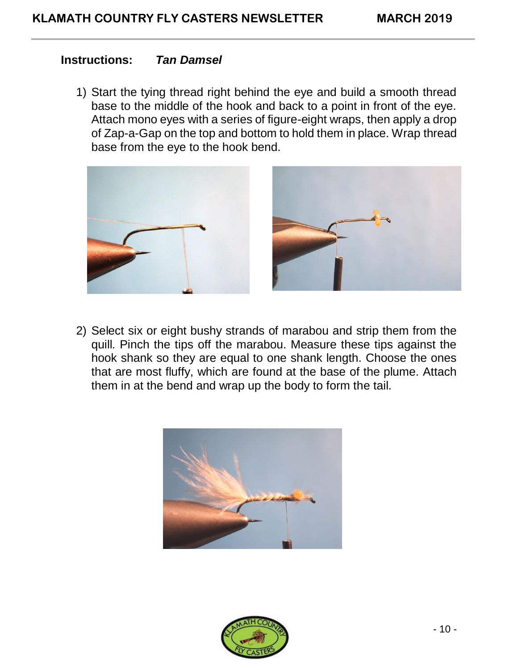### **Instructions:** *Tan Damsel*

1) Start the tying thread right behind the eye and build a smooth thread base to the middle of the hook and back to a point in front of the eye. Attach mono eyes with a series of figure-eight wraps, then apply a drop of Zap-a-Gap on the top and bottom to hold them in place. Wrap thread base from the eye to the hook bend.



2) Select six or eight bushy strands of marabou and strip them from the quill. Pinch the tips off the marabou. Measure these tips against the hook shank so they are equal to one shank length. Choose the ones that are most fluffy, which are found at the base of the plume. Attach them in at the bend and wrap up the body to form the tail.



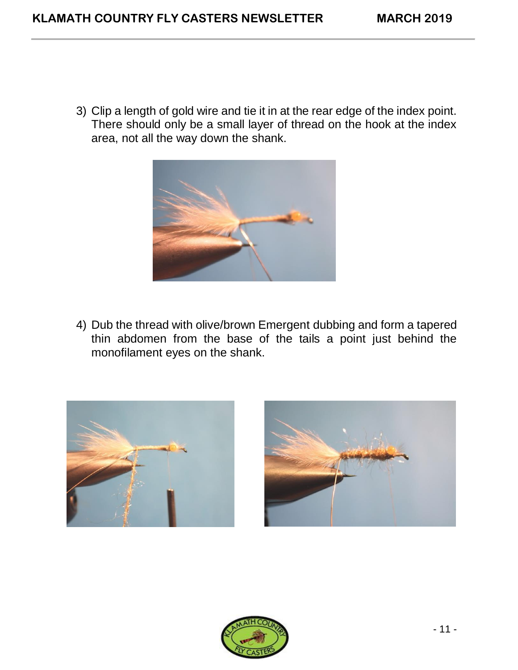3) Clip a length of gold wire and tie it in at the rear edge of the index point. There should only be a small layer of thread on the hook at the index area, not all the way down the shank.



4) Dub the thread with olive/brown Emergent dubbing and form a tapered thin abdomen from the base of the tails a point just behind the monofilament eyes on the shank.





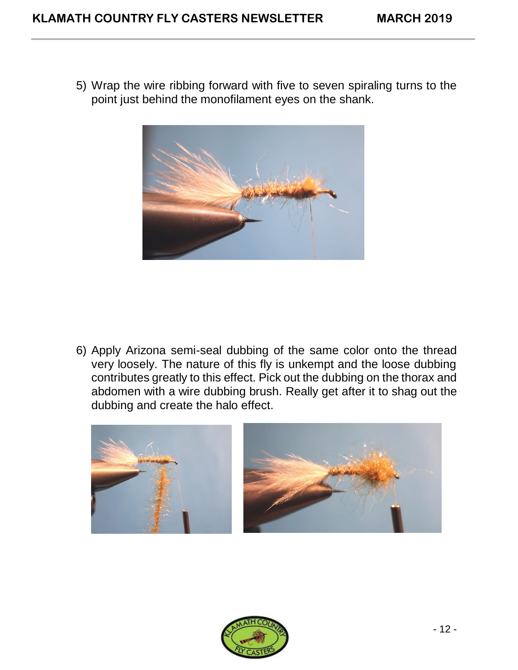5) Wrap the wire ribbing forward with five to seven spiraling turns to the point just behind the monofilament eyes on the shank.



6) Apply Arizona semi-seal dubbing of the same color onto the thread very loosely. The nature of this fly is unkempt and the loose dubbing contributes greatly to this effect. Pick out the dubbing on the thorax and abdomen with a wire dubbing brush. Really get after it to shag out the dubbing and create the halo effect.